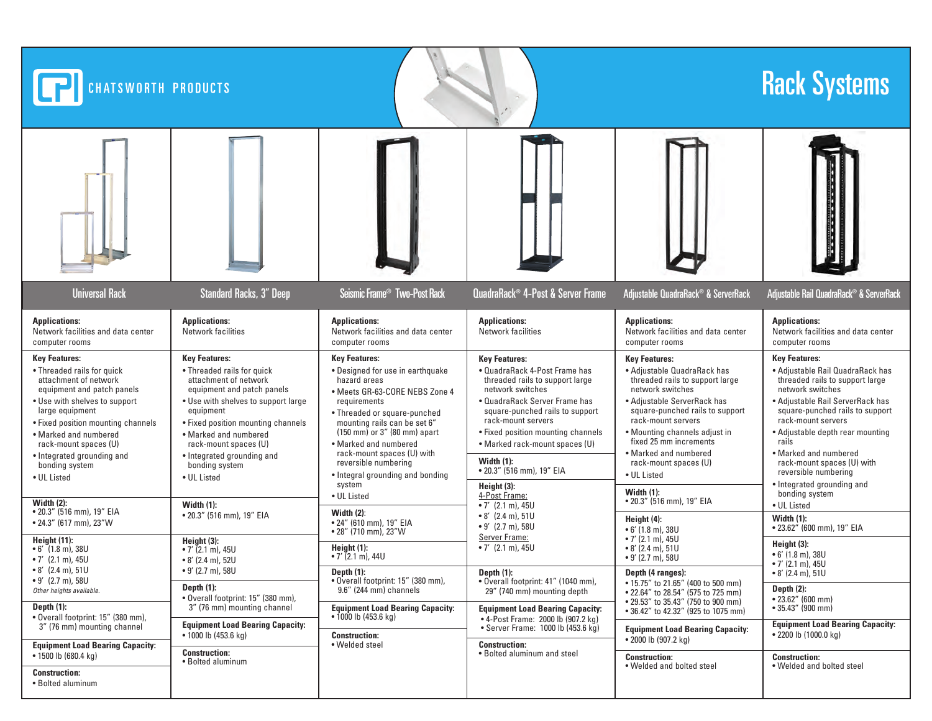| <b>The Second Company</b><br><b>Universal Rack</b><br><b>Standard Racks, 3" Deep</b><br>Seismic Frame <sup>®</sup> Two-Post Rack<br>QuadraRack® 4-Post & Server Frame<br>Adjustable QuadraRack® & ServerRack<br>Adjustable Rail QuadraRack® & ServerRack<br><b>Applications:</b><br><b>Applications:</b><br><b>Applications:</b><br><b>Applications:</b><br><b>Applications:</b><br><b>Applications:</b><br>Network facilities<br>Network facilities and data center<br><b>Network facilities</b><br>Network facilities and data center<br>Network facilities and data center<br>Network facilities and data center<br>computer rooms<br>computer rooms<br>computer rooms<br>computer rooms<br><b>Key Features:</b><br><b>Key Features:</b><br><b>Key Features:</b><br><b>Key Features:</b><br><b>Key Features:</b><br><b>Key Features:</b><br>• Threaded rails for quick<br>• Designed for use in earthquake<br>• Adjustable Rail QuadraRack has<br>• Threaded rails for quick<br>• QuadraRack 4-Post Frame has<br>• Adjustable QuadraRack has<br>attachment of network<br>attachment of network<br>hazard areas<br>threaded rails to support large<br>threaded rails to support large<br>threaded rails to support large<br>network switches<br>network switches<br>network switches<br>equipment and patch panels<br>equipment and patch panels<br>· Meets GR-63-CORE NEBS Zone 4<br>· QuadraRack Server Frame has<br>• Adjustable ServerRack has<br>• Adjustable Rail ServerRack has<br>. Use with shelves to support<br>• Use with shelves to support large<br>requirements<br>square-punched rails to support<br>large equipment<br>equipment<br>square-punched rails to support<br>square-punched rails to support<br>• Threaded or square-punched<br>rack-mount servers<br>rack-mount servers<br>rack-mount servers<br>• Fixed position mounting channels<br>mounting rails can be set 6"<br>• Fixed position mounting channels<br>$(150 \text{ mm})$ or 3" (80 mm) apart<br>• Mounting channels adjust in<br>• Fixed position mounting channels<br>• Adjustable depth rear mounting<br>• Marked and numbered<br>• Marked and numbered<br>fixed 25 mm increments<br>rails<br>· Marked and numbered<br>• Marked rack-mount spaces (U)<br>rack-mount spaces (U)<br>rack-mount spaces (U)<br>rack-mount spaces (U) with<br>• Marked and numbered<br>• Marked and numbered<br>• Integrated grounding and<br>• Integrated grounding and<br>Width $(1)$ :<br>reversible numbering<br>rack-mount spaces (U)<br>rack-mount spaces (U) with<br>bonding system<br>bonding system<br>• 20.3" (516 mm), 19" EIA<br>reversible numbering<br>• Integral grounding and bonding<br>• UL Listed<br>• UL Listed<br>• UL Listed<br>• Integrated grounding and<br>system<br>Height (3):<br>Width $(1)$ :<br>bonding system<br>4-Post Frame:<br>• UL Listed<br>• 20.3" (516 mm), 19" EIA<br>Width $(2)$ :<br>Width $(1)$ :<br>• UL Listed<br>• 7' $(2.1 \text{ m})$ , 45U<br>• 20.3" (516 mm), 19" EIA<br>Width $(2)$ :<br>• 20.3" (516 mm), 19" EIA<br>$\bullet$ 8' (2.4 m), 51U<br>Width (1):<br>Height $(4)$ :<br>• 24" (610 mm), 19" EIA<br>• 24.3" (617 mm), 23"W<br>$\bullet$ 9' (2.7 m), 58U<br>• 23.62" (600 mm), 19" EIA<br>$\bullet$ 6' (1.8 m), 38U<br>$\bullet$ 28" (710 mm), 23"W<br>Server Frame:<br>$\bullet$ 7' (2.1 m), 45U<br>Height (11):<br>Height (3):<br>Height (3):<br>Height (1):<br>• 7' $(2.1 \text{ m})$ , 45U<br>$\bullet$ 8' (2.4 m), 51U<br>$\bullet$ 6' (1.8 m), 38U<br>• $7'$ (2.1 m), 45U<br>$\bullet$ 6' (1.8 m), 38U<br>• $7'$ (2.1 m), 44U<br>$\bullet$ 9' (2.7 m), 58U<br>$\bullet$ 7' (2.1 m), 45U<br>$\bullet$ 8' (2.4 m), 52U<br>$\bullet$ 7' (2.1 m), 45U<br>• 8' (2.4 m), 51U<br>$\bullet$ 9' (2.7 m), 58U<br>Depth $(1)$ :<br>Depth $(1)$ :<br>Depth (4 ranges):<br>$\bullet$ 8' (2.4 m), 51U<br>$\bullet$ 9' (2.7 m), 58U<br>• Overall footprint: 15" (380 mm),<br>. Overall footprint: 41" (1040 mm),<br>• 15.75" to 21.65" (400 to 500 mm)<br>Depth $(1)$ :<br>Depth $(2)$ :<br>9.6" (244 mm) channels<br>Other heights available.<br>29" (740 mm) mounting depth<br>• 22.64" to 28.54" (575 to 725 mm)<br>· Overall footprint: 15" (380 mm),<br>$\bullet$ 23.62" (600 mm)<br>• 29.53" to 35.43" (750 to 900 mm)<br>Depth $(1)$ :<br>3" (76 mm) mounting channel<br>$\bullet$ 35.43" (900 mm)<br><b>Equipment Load Bearing Capacity:</b><br><b>Equipment Load Bearing Capacity:</b><br>• 36.42" to 42.32" (925 to 1075 mm)<br>$\bullet$ 1000 lb (453.6 kg)<br>· Overall footprint: 15" (380 mm),<br>• 4-Post Frame: 2000 lb (907.2 kg)<br><b>Equipment Load Bearing Capacity:</b><br><b>Equipment Load Bearing Capacity:</b><br>3" (76 mm) mounting channel<br>• Server Frame: 1000 lb (453.6 kg)<br><b>Equipment Load Bearing Capacity:</b><br>$\bullet$ 2200 lb (1000.0 kg)<br>$\bullet$ 1000 lb (453.6 kg)<br><b>Construction:</b><br>• 2000 lb (907.2 kg)<br>• Welded steel<br><b>Construction:</b><br><b>Equipment Load Bearing Capacity:</b><br><b>Construction:</b><br>• Bolted aluminum and steel<br>• 1500 lb (680.4 kg)<br><b>Construction:</b><br><b>Construction:</b><br>• Bolted aluminum | CHATSWORTH PRODUCTS |  | <b>Rack Systems</b>       |                           |
|-----------------------------------------------------------------------------------------------------------------------------------------------------------------------------------------------------------------------------------------------------------------------------------------------------------------------------------------------------------------------------------------------------------------------------------------------------------------------------------------------------------------------------------------------------------------------------------------------------------------------------------------------------------------------------------------------------------------------------------------------------------------------------------------------------------------------------------------------------------------------------------------------------------------------------------------------------------------------------------------------------------------------------------------------------------------------------------------------------------------------------------------------------------------------------------------------------------------------------------------------------------------------------------------------------------------------------------------------------------------------------------------------------------------------------------------------------------------------------------------------------------------------------------------------------------------------------------------------------------------------------------------------------------------------------------------------------------------------------------------------------------------------------------------------------------------------------------------------------------------------------------------------------------------------------------------------------------------------------------------------------------------------------------------------------------------------------------------------------------------------------------------------------------------------------------------------------------------------------------------------------------------------------------------------------------------------------------------------------------------------------------------------------------------------------------------------------------------------------------------------------------------------------------------------------------------------------------------------------------------------------------------------------------------------------------------------------------------------------------------------------------------------------------------------------------------------------------------------------------------------------------------------------------------------------------------------------------------------------------------------------------------------------------------------------------------------------------------------------------------------------------------------------------------------------------------------------------------------------------------------------------------------------------------------------------------------------------------------------------------------------------------------------------------------------------------------------------------------------------------------------------------------------------------------------------------------------------------------------------------------------------------------------------------------------------------------------------------------------------------------------------------------------------------------------------------------------------------------------------------------------------------------------------------------------------------------------------------------------------------------------------------------------------------------------------------------------------------------------------------------------------------------------------------------------------------------------------------------------------------------------------------------------------------------------------------------------------------------------------------------------------------------------------------------------------------------------------------------------------------------------------------------------------------------------------------------------------------------------------------------------------------------------------------------------------------------------------------------------------------------------------------------------------------------------------------------------------------------------------------------------------------------------------------------------------------------------------------------------------------------------------------------------------------------------------------------------------------------------------------------------------------|---------------------|--|---------------------------|---------------------------|
|                                                                                                                                                                                                                                                                                                                                                                                                                                                                                                                                                                                                                                                                                                                                                                                                                                                                                                                                                                                                                                                                                                                                                                                                                                                                                                                                                                                                                                                                                                                                                                                                                                                                                                                                                                                                                                                                                                                                                                                                                                                                                                                                                                                                                                                                                                                                                                                                                                                                                                                                                                                                                                                                                                                                                                                                                                                                                                                                                                                                                                                                                                                                                                                                                                                                                                                                                                                                                                                                                                                                                                                                                                                                                                                                                                                                                                                                                                                                                                                                                                                                                                                                                                                                                                                                                                                                                                                                                                                                                                                                                                                                                                                                                                                                                                                                                                                                                                                                                                                                                                                                                                                                         |                     |  |                           |                           |
|                                                                                                                                                                                                                                                                                                                                                                                                                                                                                                                                                                                                                                                                                                                                                                                                                                                                                                                                                                                                                                                                                                                                                                                                                                                                                                                                                                                                                                                                                                                                                                                                                                                                                                                                                                                                                                                                                                                                                                                                                                                                                                                                                                                                                                                                                                                                                                                                                                                                                                                                                                                                                                                                                                                                                                                                                                                                                                                                                                                                                                                                                                                                                                                                                                                                                                                                                                                                                                                                                                                                                                                                                                                                                                                                                                                                                                                                                                                                                                                                                                                                                                                                                                                                                                                                                                                                                                                                                                                                                                                                                                                                                                                                                                                                                                                                                                                                                                                                                                                                                                                                                                                                         |                     |  |                           |                           |
|                                                                                                                                                                                                                                                                                                                                                                                                                                                                                                                                                                                                                                                                                                                                                                                                                                                                                                                                                                                                                                                                                                                                                                                                                                                                                                                                                                                                                                                                                                                                                                                                                                                                                                                                                                                                                                                                                                                                                                                                                                                                                                                                                                                                                                                                                                                                                                                                                                                                                                                                                                                                                                                                                                                                                                                                                                                                                                                                                                                                                                                                                                                                                                                                                                                                                                                                                                                                                                                                                                                                                                                                                                                                                                                                                                                                                                                                                                                                                                                                                                                                                                                                                                                                                                                                                                                                                                                                                                                                                                                                                                                                                                                                                                                                                                                                                                                                                                                                                                                                                                                                                                                                         |                     |  |                           |                           |
|                                                                                                                                                                                                                                                                                                                                                                                                                                                                                                                                                                                                                                                                                                                                                                                                                                                                                                                                                                                                                                                                                                                                                                                                                                                                                                                                                                                                                                                                                                                                                                                                                                                                                                                                                                                                                                                                                                                                                                                                                                                                                                                                                                                                                                                                                                                                                                                                                                                                                                                                                                                                                                                                                                                                                                                                                                                                                                                                                                                                                                                                                                                                                                                                                                                                                                                                                                                                                                                                                                                                                                                                                                                                                                                                                                                                                                                                                                                                                                                                                                                                                                                                                                                                                                                                                                                                                                                                                                                                                                                                                                                                                                                                                                                                                                                                                                                                                                                                                                                                                                                                                                                                         |                     |  |                           |                           |
|                                                                                                                                                                                                                                                                                                                                                                                                                                                                                                                                                                                                                                                                                                                                                                                                                                                                                                                                                                                                                                                                                                                                                                                                                                                                                                                                                                                                                                                                                                                                                                                                                                                                                                                                                                                                                                                                                                                                                                                                                                                                                                                                                                                                                                                                                                                                                                                                                                                                                                                                                                                                                                                                                                                                                                                                                                                                                                                                                                                                                                                                                                                                                                                                                                                                                                                                                                                                                                                                                                                                                                                                                                                                                                                                                                                                                                                                                                                                                                                                                                                                                                                                                                                                                                                                                                                                                                                                                                                                                                                                                                                                                                                                                                                                                                                                                                                                                                                                                                                                                                                                                                                                         |                     |  |                           |                           |
|                                                                                                                                                                                                                                                                                                                                                                                                                                                                                                                                                                                                                                                                                                                                                                                                                                                                                                                                                                                                                                                                                                                                                                                                                                                                                                                                                                                                                                                                                                                                                                                                                                                                                                                                                                                                                                                                                                                                                                                                                                                                                                                                                                                                                                                                                                                                                                                                                                                                                                                                                                                                                                                                                                                                                                                                                                                                                                                                                                                                                                                                                                                                                                                                                                                                                                                                                                                                                                                                                                                                                                                                                                                                                                                                                                                                                                                                                                                                                                                                                                                                                                                                                                                                                                                                                                                                                                                                                                                                                                                                                                                                                                                                                                                                                                                                                                                                                                                                                                                                                                                                                                                                         |                     |  |                           |                           |
|                                                                                                                                                                                                                                                                                                                                                                                                                                                                                                                                                                                                                                                                                                                                                                                                                                                                                                                                                                                                                                                                                                                                                                                                                                                                                                                                                                                                                                                                                                                                                                                                                                                                                                                                                                                                                                                                                                                                                                                                                                                                                                                                                                                                                                                                                                                                                                                                                                                                                                                                                                                                                                                                                                                                                                                                                                                                                                                                                                                                                                                                                                                                                                                                                                                                                                                                                                                                                                                                                                                                                                                                                                                                                                                                                                                                                                                                                                                                                                                                                                                                                                                                                                                                                                                                                                                                                                                                                                                                                                                                                                                                                                                                                                                                                                                                                                                                                                                                                                                                                                                                                                                                         |                     |  |                           |                           |
|                                                                                                                                                                                                                                                                                                                                                                                                                                                                                                                                                                                                                                                                                                                                                                                                                                                                                                                                                                                                                                                                                                                                                                                                                                                                                                                                                                                                                                                                                                                                                                                                                                                                                                                                                                                                                                                                                                                                                                                                                                                                                                                                                                                                                                                                                                                                                                                                                                                                                                                                                                                                                                                                                                                                                                                                                                                                                                                                                                                                                                                                                                                                                                                                                                                                                                                                                                                                                                                                                                                                                                                                                                                                                                                                                                                                                                                                                                                                                                                                                                                                                                                                                                                                                                                                                                                                                                                                                                                                                                                                                                                                                                                                                                                                                                                                                                                                                                                                                                                                                                                                                                                                         |                     |  |                           |                           |
| <b>Construction:</b><br>• Bolted aluminum                                                                                                                                                                                                                                                                                                                                                                                                                                                                                                                                                                                                                                                                                                                                                                                                                                                                                                                                                                                                                                                                                                                                                                                                                                                                                                                                                                                                                                                                                                                                                                                                                                                                                                                                                                                                                                                                                                                                                                                                                                                                                                                                                                                                                                                                                                                                                                                                                                                                                                                                                                                                                                                                                                                                                                                                                                                                                                                                                                                                                                                                                                                                                                                                                                                                                                                                                                                                                                                                                                                                                                                                                                                                                                                                                                                                                                                                                                                                                                                                                                                                                                                                                                                                                                                                                                                                                                                                                                                                                                                                                                                                                                                                                                                                                                                                                                                                                                                                                                                                                                                                                               |                     |  | • Welded and bolted steel | • Welded and bolted steel |